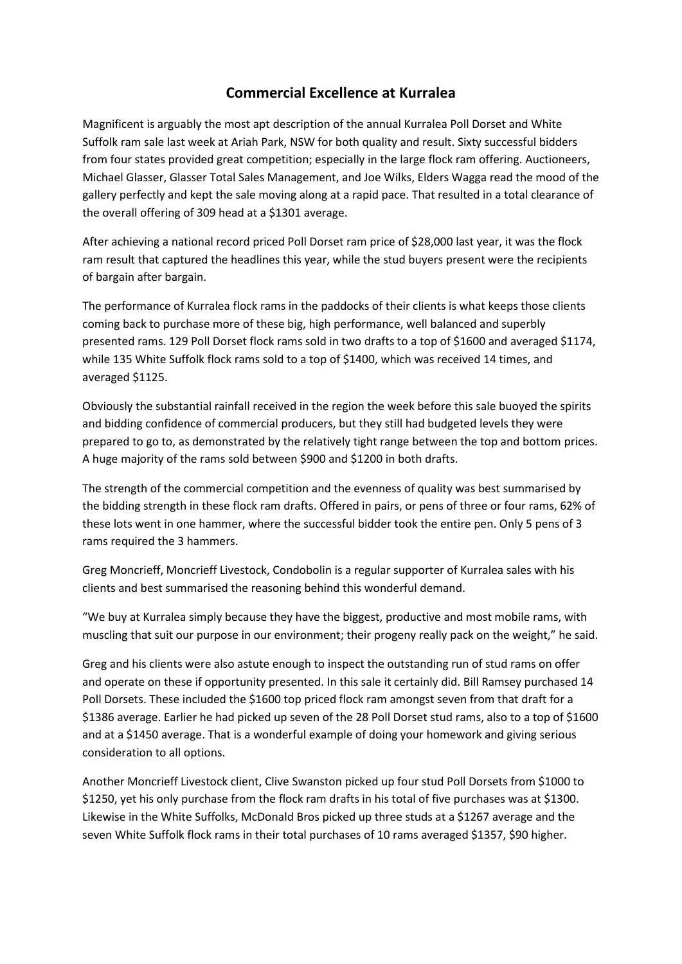## **Commercial Excellence at Kurralea**

Magnificent is arguably the most apt description of the annual Kurralea Poll Dorset and White Suffolk ram sale last week at Ariah Park, NSW for both quality and result. Sixty successful bidders from four states provided great competition; especially in the large flock ram offering. Auctioneers, Michael Glasser, Glasser Total Sales Management, and Joe Wilks, Elders Wagga read the mood of the gallery perfectly and kept the sale moving along at a rapid pace. That resulted in a total clearance of the overall offering of 309 head at a \$1301 average.

After achieving a national record priced Poll Dorset ram price of \$28,000 last year, it was the flock ram result that captured the headlines this year, while the stud buyers present were the recipients of bargain after bargain.

The performance of Kurralea flock rams in the paddocks of their clients is what keeps those clients coming back to purchase more of these big, high performance, well balanced and superbly presented rams. 129 Poll Dorset flock rams sold in two drafts to a top of \$1600 and averaged \$1174, while 135 White Suffolk flock rams sold to a top of \$1400, which was received 14 times, and averaged \$1125.

Obviously the substantial rainfall received in the region the week before this sale buoyed the spirits and bidding confidence of commercial producers, but they still had budgeted levels they were prepared to go to, as demonstrated by the relatively tight range between the top and bottom prices. A huge majority of the rams sold between \$900 and \$1200 in both drafts.

The strength of the commercial competition and the evenness of quality was best summarised by the bidding strength in these flock ram drafts. Offered in pairs, or pens of three or four rams, 62% of these lots went in one hammer, where the successful bidder took the entire pen. Only 5 pens of 3 rams required the 3 hammers.

Greg Moncrieff, Moncrieff Livestock, Condobolin is a regular supporter of Kurralea sales with his clients and best summarised the reasoning behind this wonderful demand.

"We buy at Kurralea simply because they have the biggest, productive and most mobile rams, with muscling that suit our purpose in our environment; their progeny really pack on the weight," he said.

Greg and his clients were also astute enough to inspect the outstanding run of stud rams on offer and operate on these if opportunity presented. In this sale it certainly did. Bill Ramsey purchased 14 Poll Dorsets. These included the \$1600 top priced flock ram amongst seven from that draft for a \$1386 average. Earlier he had picked up seven of the 28 Poll Dorset stud rams, also to a top of \$1600 and at a \$1450 average. That is a wonderful example of doing your homework and giving serious consideration to all options.

Another Moncrieff Livestock client, Clive Swanston picked up four stud Poll Dorsets from \$1000 to \$1250, yet his only purchase from the flock ram drafts in his total of five purchases was at \$1300. Likewise in the White Suffolks, McDonald Bros picked up three studs at a \$1267 average and the seven White Suffolk flock rams in their total purchases of 10 rams averaged \$1357, \$90 higher.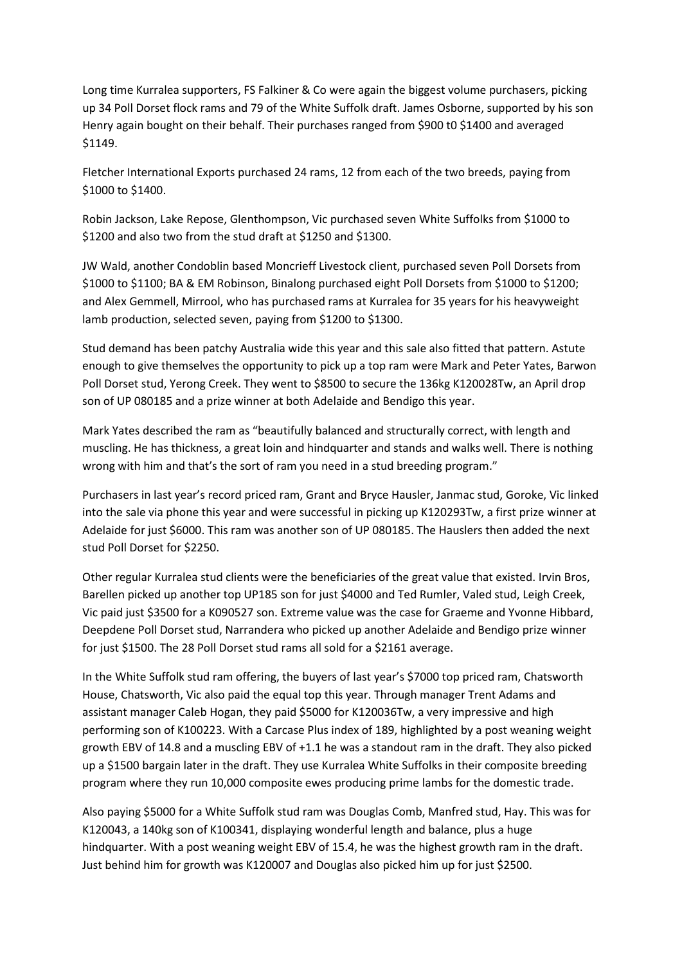Long time Kurralea supporters, FS Falkiner & Co were again the biggest volume purchasers, picking up 34 Poll Dorset flock rams and 79 of the White Suffolk draft. James Osborne, supported by his son Henry again bought on their behalf. Their purchases ranged from \$900 t0 \$1400 and averaged \$1149.

Fletcher International Exports purchased 24 rams, 12 from each of the two breeds, paying from \$1000 to \$1400.

Robin Jackson, Lake Repose, Glenthompson, Vic purchased seven White Suffolks from \$1000 to \$1200 and also two from the stud draft at \$1250 and \$1300.

JW Wald, another Condoblin based Moncrieff Livestock client, purchased seven Poll Dorsets from \$1000 to \$1100; BA & EM Robinson, Binalong purchased eight Poll Dorsets from \$1000 to \$1200; and Alex Gemmell, Mirrool, who has purchased rams at Kurralea for 35 years for his heavyweight lamb production, selected seven, paying from \$1200 to \$1300.

Stud demand has been patchy Australia wide this year and this sale also fitted that pattern. Astute enough to give themselves the opportunity to pick up a top ram were Mark and Peter Yates, Barwon Poll Dorset stud, Yerong Creek. They went to \$8500 to secure the 136kg K120028Tw, an April drop son of UP 080185 and a prize winner at both Adelaide and Bendigo this year.

Mark Yates described the ram as "beautifully balanced and structurally correct, with length and muscling. He has thickness, a great loin and hindquarter and stands and walks well. There is nothing wrong with him and that's the sort of ram you need in a stud breeding program."

Purchasers in last year's record priced ram, Grant and Bryce Hausler, Janmac stud, Goroke, Vic linked into the sale via phone this year and were successful in picking up K120293Tw, a first prize winner at Adelaide for just \$6000. This ram was another son of UP 080185. The Hauslers then added the next stud Poll Dorset for \$2250.

Other regular Kurralea stud clients were the beneficiaries of the great value that existed. Irvin Bros, Barellen picked up another top UP185 son for just \$4000 and Ted Rumler, Valed stud, Leigh Creek, Vic paid just \$3500 for a K090527 son. Extreme value was the case for Graeme and Yvonne Hibbard, Deepdene Poll Dorset stud, Narrandera who picked up another Adelaide and Bendigo prize winner for just \$1500. The 28 Poll Dorset stud rams all sold for a \$2161 average.

In the White Suffolk stud ram offering, the buyers of last year's \$7000 top priced ram, Chatsworth House, Chatsworth, Vic also paid the equal top this year. Through manager Trent Adams and assistant manager Caleb Hogan, they paid \$5000 for K120036Tw, a very impressive and high performing son of K100223. With a Carcase Plus index of 189, highlighted by a post weaning weight growth EBV of 14.8 and a muscling EBV of +1.1 he was a standout ram in the draft. They also picked up a \$1500 bargain later in the draft. They use Kurralea White Suffolks in their composite breeding program where they run 10,000 composite ewes producing prime lambs for the domestic trade.

Also paying \$5000 for a White Suffolk stud ram was Douglas Comb, Manfred stud, Hay. This was for K120043, a 140kg son of K100341, displaying wonderful length and balance, plus a huge hindquarter. With a post weaning weight EBV of 15.4, he was the highest growth ram in the draft. Just behind him for growth was K120007 and Douglas also picked him up for just \$2500.